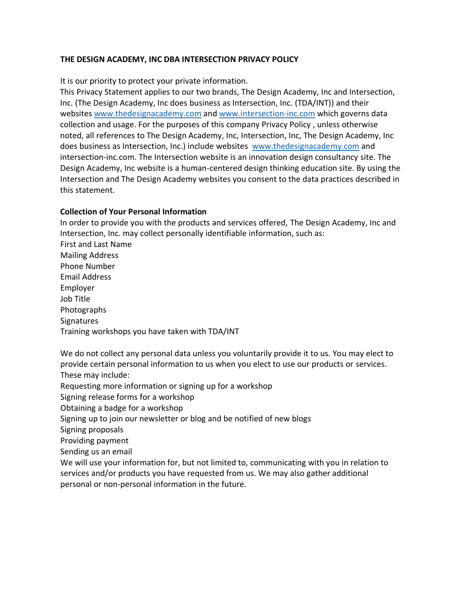# **THE DESIGN ACADEMY, INC DBA INTERSECTION PRIVACY POLICY**

It is our priority to protect your private information.

This Privacy Statement applies to our two brands, The Design Academy, Inc and Intersection, Inc. (The Design Academy, Inc does business as Intersection, Inc. (TDA/INT)) and their websites [www.thedesignacademy.com](http://www.thedesignacademy.com/) and [www.intersection-inc.com](http://www.intersection-inc.com/) which governs data collection and usage. For the purposes of this company Privacy Policy , unless otherwise noted, all references to The Design Academy, Inc, Intersection, Inc, The Design Academy, Inc does business as Intersection, Inc.) include websites [www.thedesignacademy.com](http://www.thedesignacademy.com/) and intersection-inc.com. The Intersection website is an innovation design consultancy site. The Design Academy, Inc website is a human-centered design thinking education site. By using the Intersection and The Design Academy websites you consent to the data practices described in this statement.

# **Collection of Your Personal Information**

In order to provide you with the products and services offered, The Design Academy, Inc and Intersection, Inc. may collect personally identifiable information, such as: First and Last Name Mailing Address Phone Number Email Address Employer Job Title Photographs **Signatures** Training workshops you have taken with TDA/INT

We do not collect any personal data unless you voluntarily provide it to us. You may elect to provide certain personal information to us when you elect to use our products or services. These may include:

Requesting more information or signing up for a workshop

Signing release forms for a workshop

Obtaining a badge for a workshop

Signing up to join our newsletter or blog and be notified of new blogs

Signing proposals

Providing payment

Sending us an email

We will use your information for, but not limited to, communicating with you in relation to services and/or products you have requested from us. We may also gather additional personal or non-personal information in the future.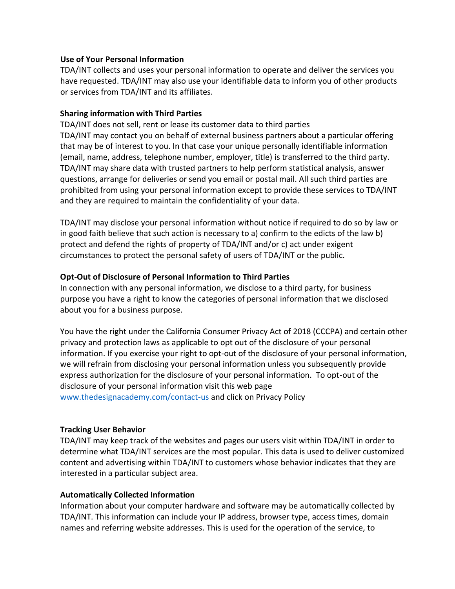### **Use of Your Personal Information**

TDA/INT collects and uses your personal information to operate and deliver the services you have requested. TDA/INT may also use your identifiable data to inform you of other products or services from TDA/INT and its affiliates.

# **Sharing information with Third Parties**

TDA/INT does not sell, rent or lease its customer data to third parties TDA/INT may contact you on behalf of external business partners about a particular offering that may be of interest to you. In that case your unique personally identifiable information (email, name, address, telephone number, employer, title) is transferred to the third party. TDA/INT may share data with trusted partners to help perform statistical analysis, answer questions, arrange for deliveries or send you email or postal mail. All such third parties are prohibited from using your personal information except to provide these services to TDA/INT and they are required to maintain the confidentiality of your data.

TDA/INT may disclose your personal information without notice if required to do so by law or in good faith believe that such action is necessary to a) confirm to the edicts of the law b) protect and defend the rights of property of TDA/INT and/or c) act under exigent circumstances to protect the personal safety of users of TDA/INT or the public.

# **Opt-Out of Disclosure of Personal Information to Third Parties**

In connection with any personal information, we disclose to a third party, for business purpose you have a right to know the categories of personal information that we disclosed about you for a business purpose.

You have the right under the California Consumer Privacy Act of 2018 (CCCPA) and certain other privacy and protection laws as applicable to opt out of the disclosure of your personal information. If you exercise your right to opt-out of the disclosure of your personal information, we will refrain from disclosing your personal information unless you subsequently provide express authorization for the disclosure of your personal information. To opt-out of the disclosure of your personal information visit this web page [www.thedesignacademy.com/contact-us](http://www.thedesignacademy.com/contact-us) and click on Privacy Policy

#### **Tracking User Behavior**

TDA/INT may keep track of the websites and pages our users visit within TDA/INT in order to determine what TDA/INT services are the most popular. This data is used to deliver customized content and advertising within TDA/INT to customers whose behavior indicates that they are interested in a particular subject area.

# **Automatically Collected Information**

Information about your computer hardware and software may be automatically collected by TDA/INT. This information can include your IP address, browser type, access times, domain names and referring website addresses. This is used for the operation of the service, to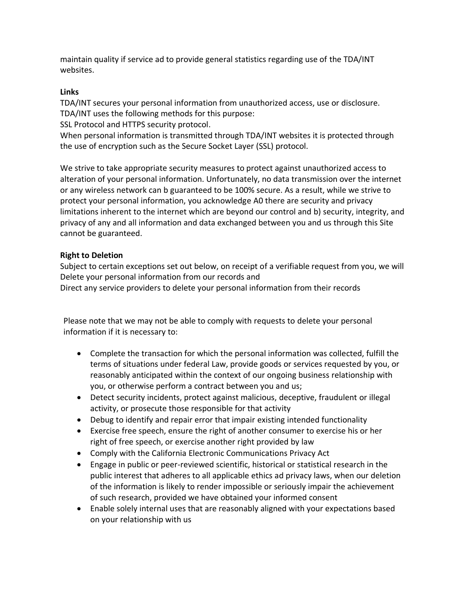maintain quality if service ad to provide general statistics regarding use of the TDA/INT websites.

# **Links**

TDA/INT secures your personal information from unauthorized access, use or disclosure. TDA/INT uses the following methods for this purpose:

SSL Protocol and HTTPS security protocol.

When personal information is transmitted through TDA/INT websites it is protected through the use of encryption such as the Secure Socket Layer (SSL) protocol.

We strive to take appropriate security measures to protect against unauthorized access to alteration of your personal information. Unfortunately, no data transmission over the internet or any wireless network can b guaranteed to be 100% secure. As a result, while we strive to protect your personal information, you acknowledge A0 there are security and privacy limitations inherent to the internet which are beyond our control and b) security, integrity, and privacy of any and all information and data exchanged between you and us through this Site cannot be guaranteed.

# **Right to Deletion**

Subject to certain exceptions set out below, on receipt of a verifiable request from you, we will Delete your personal information from our records and Direct any service providers to delete your personal information from their records

Please note that we may not be able to comply with requests to delete your personal information if it is necessary to:

- Complete the transaction for which the personal information was collected, fulfill the terms of situations under federal Law, provide goods or services requested by you, or reasonably anticipated within the context of our ongoing business relationship with you, or otherwise perform a contract between you and us;
- Detect security incidents, protect against malicious, deceptive, fraudulent or illegal activity, or prosecute those responsible for that activity
- Debug to identify and repair error that impair existing intended functionality
- Exercise free speech, ensure the right of another consumer to exercise his or her right of free speech, or exercise another right provided by law
- Comply with the California Electronic Communications Privacy Act
- Engage in public or peer-reviewed scientific, historical or statistical research in the public interest that adheres to all applicable ethics ad privacy laws, when our deletion of the information is likely to render impossible or seriously impair the achievement of such research, provided we have obtained your informed consent
- Enable solely internal uses that are reasonably aligned with your expectations based on your relationship with us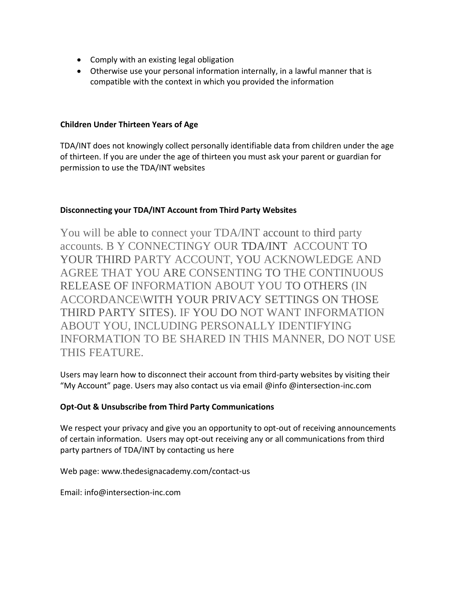- Comply with an existing legal obligation
- Otherwise use your personal information internally, in a lawful manner that is compatible with the context in which you provided the information

### **Children Under Thirteen Years of Age**

TDA/INT does not knowingly collect personally identifiable data from children under the age of thirteen. If you are under the age of thirteen you must ask your parent or guardian for permission to use the TDA/INT websites

# **Disconnecting your TDA/INT Account from Third Party Websites**

You will be able to connect your TDA/INT account to third party accounts. B Y CONNECTINGY OUR TDA/INT ACCOUNT TO YOUR THIRD PARTY ACCOUNT, YOU ACKNOWLEDGE AND AGREE THAT YOU ARE CONSENTING TO THE CONTINUOUS RELEASE OF INFORMATION ABOUT YOU TO OTHERS (IN ACCORDANCE\WITH YOUR PRIVACY SETTINGS ON THOSE THIRD PARTY SITES). IF YOU DO NOT WANT INFORMATION ABOUT YOU, INCLUDING PERSONALLY IDENTIFYING INFORMATION TO BE SHARED IN THIS MANNER, DO NOT USE THIS FEATURE.

Users may learn how to disconnect their account from third-party websites by visiting their "My Account" page. Users may also contact us via email @info @intersection-inc.com

# **Opt-Out & Unsubscribe from Third Party Communications**

We respect your privacy and give you an opportunity to opt-out of receiving announcements of certain information. Users may opt-out receiving any or all communications from third party partners of TDA/INT by contacting us here

Web page: www.thedesignacademy.com/contact-us

Email: [info@intersection-inc.com](mailto:info@intersection-inc.com)